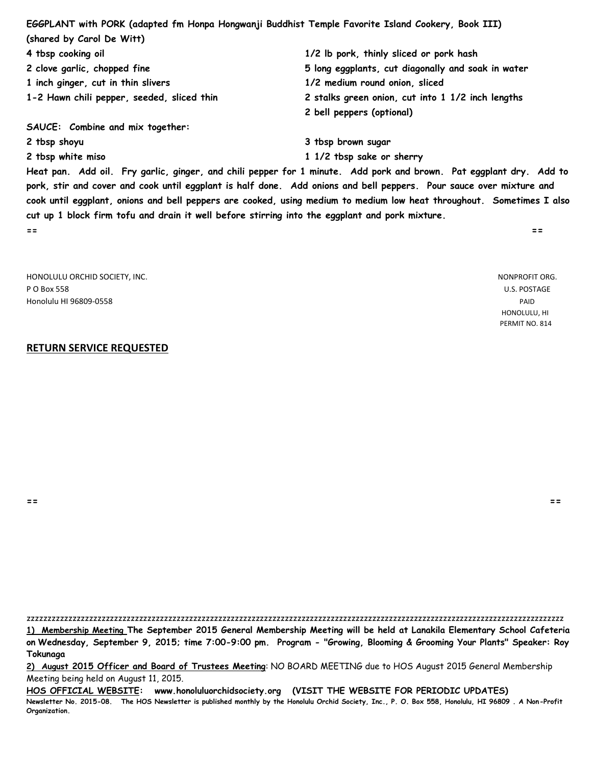**EGGPLANT with PORK (adapted fm Honpa Hongwanji Buddhist Temple Favorite Island Cookery, Book III) (shared by Carol De Witt) 4 tbsp cooking oil 1/2 lb pork, thinly sliced or pork hash 2 clove garlic, chopped fine 5 long eggplants, cut diagonally and soak in water 1 inch ginger, cut in thin slivers 1/2 medium round onion, sliced 1-2 Hawn chili pepper, seeded, sliced thin 2 stalks green onion, cut into 1 1/2 inch lengths 2 bell peppers (optional) SAUCE: Combine and mix together: 2 tbsp shoyu 3 tbsp brown sugar**

**2 tbsp white miso 1 1/2 tbsp sake or sherry**

**Heat pan. Add oil. Fry garlic, ginger, and chili pepper for 1 minute. Add pork and brown. Pat eggplant dry. Add to pork, stir and cover and cook until eggplant is half done. Add onions and bell peppers. Pour sauce over mixture and cook until eggplant, onions and bell peppers are cooked, using medium to medium low heat throughout. Sometimes I also cut up 1 block firm tofu and drain it well before stirring into the eggplant and pork mixture. == ==**

| HONOLULU ORCHID SOCIETY, INC. | NONPROFIT ORG. |
|-------------------------------|----------------|
| P O Box 558                   | U.S. POSTAGE   |
| Honolulu HI 96809-0558        | PAID           |
|                               | HONOLULU, HI   |
|                               | PERMIT NO. 814 |

#### **RETURN SERVICE REQUESTED**

**== ==**

zzzzzzzzzzzzzzzzzzzzzzzzzzzzzzzzzzzzzzzzzzzzzzzzzzzzzzzzzzzzzzzzzzzzzzzzzzzzzzzzzzzzzzzzzzzzzzzzzzzzzzzzzzzzzzzzzzzzzzzzzzzzzzzzz

**1) Membership Meeting The September 2015 General Membership Meeting will be held at Lanakila Elementary School Cafeteria on Wednesday, September 9, 2015; time 7:00-9:00 pm. Program - "Growing, Blooming & Grooming Your Plants" Speaker: Roy Tokunaga**

**2) August 2015 Officer and Board of Trustees Meeting**: NO BOARD MEETING due to HOS August 2015 General Membership Meeting being held on August 11, 2015.

**HOS OFFICIAL WEBSITE: www.honoluluorchidsociety.org (VISIT THE WEBSITE FOR PERIODIC UPDATES) Newsletter No. 2015-08. The HOS Newsletter is published monthly by the Honolulu Orchid Society, Inc., P. O. Box 558, Honolulu, HI 96809 . A Non-Profit Organization.**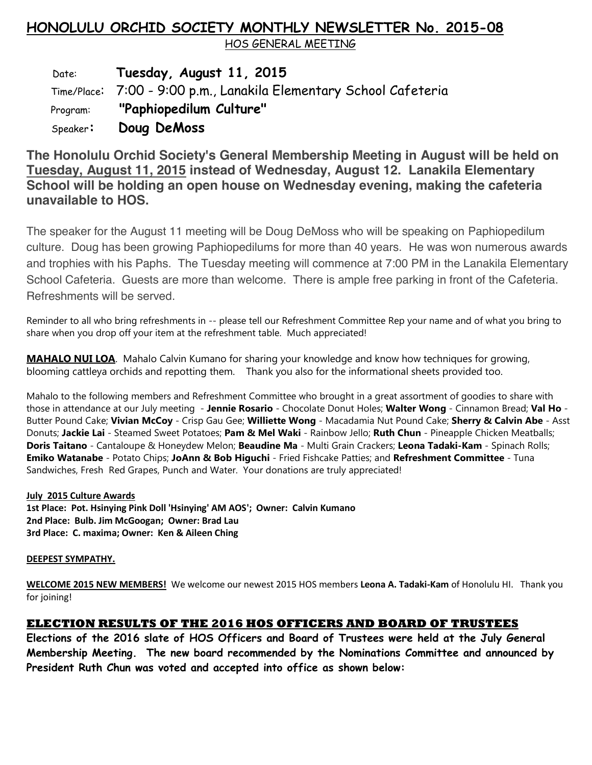# **HONOLULU ORCHID SOCIETY MONTHLY NEWSLETTER No. 2015-08**

HOS GENERAL MEETING

 Date: **Tuesday, August 11, 2015** Time/Place: 7:00 - 9:00 p.m., Lanakila Elementary School Cafeteria Program: **"Paphiopedilum Culture"** Speaker**: Doug DeMoss** 

**The Honolulu Orchid Society's General Membership Meeting in August will be held on Tuesday, August 11, 2015 instead of Wednesday, August 12. Lanakila Elementary School will be holding an open house on Wednesday evening, making the cafeteria unavailable to HOS.**

The speaker for the August 11 meeting will be Doug DeMoss who will be speaking on Paphiopedilum culture. Doug has been growing Paphiopedilums for more than 40 years. He was won numerous awards and trophies with his Paphs. The Tuesday meeting will commence at 7:00 PM in the Lanakila Elementary School Cafeteria. Guests are more than welcome. There is ample free parking in front of the Cafeteria. Refreshments will be served.

Reminder to all who bring refreshments in -- please tell our Refreshment Committee Rep your name and of what you bring to share when you drop off your item at the refreshment table. Much appreciated!

**MAHALO NUI LOA**. Mahalo Calvin Kumano for sharing your knowledge and know how techniques for growing, blooming cattleya orchids and repotting them. Thank you also for the informational sheets provided too.

Mahalo to the following members and Refreshment Committee who brought in a great assortment of goodies to share with those in attendance at our July meeting - **Jennie Rosario** - Chocolate Donut Holes; **Walter Wong** - Cinnamon Bread; **Val Ho** - Butter Pound Cake; **Vivian McCoy** - Crisp Gau Gee; **Williette Wong** - Macadamia Nut Pound Cake; **Sherry & Calvin Abe** - Asst Donuts; **Jackie Lai** - Steamed Sweet Potatoes; **Pam & Mel Waki** - Rainbow Jello; **Ruth Chun** - Pineapple Chicken Meatballs; **Doris Taitano** - Cantaloupe & Honeydew Melon; **Beaudine Ma** - Multi Grain Crackers; **Leona Tadaki-Kam** - Spinach Rolls; **Emiko Watanabe** - Potato Chips; **JoAnn & Bob Higuchi** - Fried Fishcake Patties; and **Refreshment Committee** - Tuna Sandwiches, Fresh Red Grapes, Punch and Water. Your donations are truly appreciated!

### **July 2015 Culture Awards**

**1st Place: Pot. Hsinying Pink Doll 'Hsinying' AM AOS'; Owner: Calvin Kumano 2nd Place: Bulb. Jim McGoogan; Owner: Brad Lau 3rd Place: C. maxima; Owner: Ken & Aileen Ching** 

### **DEEPEST SYMPATHY.**

**WELCOME 2015 NEW MEMBERS!** We welcome our newest 2015 HOS members **Leona A. Tadaki-Kam** of Honolulu HI. Thank you for joining!

## **ELECTION RESULTS OF THE 2016 HOS OFFICERS AND BOARD OF TRUSTEES**

**Elections of the 2016 slate of HOS Officers and Board of Trustees were held at the July General Membership Meeting. The new board recommended by the Nominations Committee and announced by President Ruth Chun was voted and accepted into office as shown below:**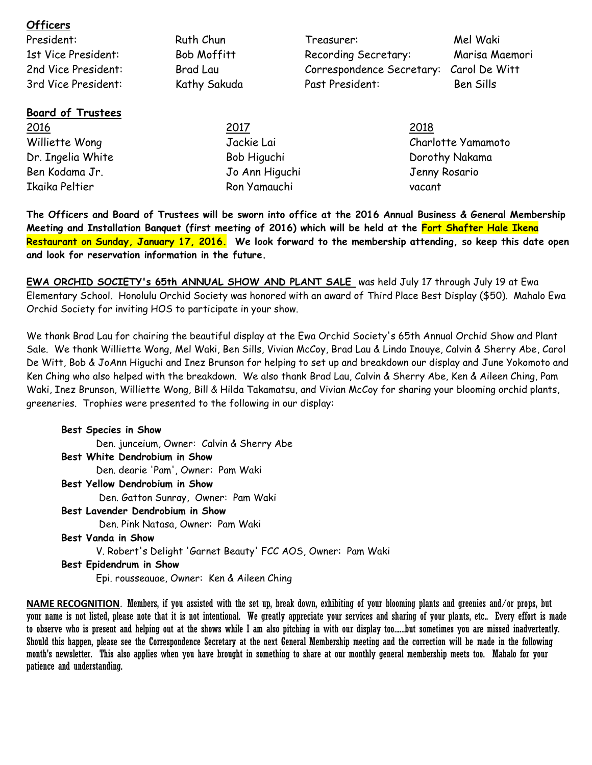| President:               | Ruth Chun          | Treasurer:                | Mel Waki           |
|--------------------------|--------------------|---------------------------|--------------------|
| 1st Vice President:      | <b>Bob Moffitt</b> | Recording Secretary:      | Marisa Maemori     |
| 2nd Vice President:      | Brad Lau           | Correspondence Secretary: | Carol De Witt      |
| 3rd Vice President:      | Kathy Sakuda       | Past President:           | Ben Sills          |
| <b>Board of Trustees</b> |                    |                           |                    |
| <u> 2016</u>             | 2017               | 2018                      |                    |
| Williette Wong           | Jackie Lai         |                           | Charlotte Yamamoto |
| Dr. Ingelia White        | Bob Higuchi        |                           | Dorothy Nakama     |
| Ben Kodama Jr.           | Jo Ann Higuchi     |                           | Jenny Rosario      |
| Ikaika Peltier           | Ron Yamauchi       |                           | vacant             |

**Officers** 

**The Officers and Board of Trustees will be sworn into office at the 2016 Annual Business & General Membership Meeting and Installation Banquet (first meeting of 2016) which will be held at the Fort Shafter Hale Ikena Restaurant on Sunday, January 17, 2016. We look forward to the membership attending, so keep this date open and look for reservation information in the future.**

**EWA ORCHID SOCIETY's 65th ANNUAL SHOW AND PLANT SALE** was held July 17 through July 19 at Ewa Elementary School. Honolulu Orchid Society was honored with an award of Third Place Best Display (\$50). Mahalo Ewa Orchid Society for inviting HOS to participate in your show.

We thank Brad Lau for chairing the beautiful display at the Ewa Orchid Society's 65th Annual Orchid Show and Plant Sale. We thank Williette Wong, Mel Waki, Ben Sills, Vivian McCoy, Brad Lau & Linda Inouye, Calvin & Sherry Abe, Carol De Witt, Bob & JoAnn Higuchi and Inez Brunson for helping to set up and breakdown our display and June Yokomoto and Ken Ching who also helped with the breakdown. We also thank Brad Lau, Calvin & Sherry Abe, Ken & Aileen Ching, Pam Waki, Inez Brunson, Williette Wong, Bill & Hilda Takamatsu, and Vivian McCoy for sharing your blooming orchid plants, greeneries. Trophies were presented to the following in our display:

**Best Species in Show** Den. junceium, Owner: Calvin & Sherry Abe **Best White Dendrobium in Show** Den. dearie 'Pam', Owner: Pam Waki **Best Yellow Dendrobium in Show** Den. Gatton Sunray, Owner: Pam Waki **Best Lavender Dendrobium in Show** Den. Pink Natasa, Owner: Pam Waki **Best Vanda in Show** V. Robert's Delight 'Garnet Beauty' FCC AOS, Owner: Pam Waki **Best Epidendrum in Show** Epi. rousseauae, Owner: Ken & Aileen Ching

**NAME RECOGNITION**. Members, if you assisted with the set up, break down, exhibiting of your blooming plants and greenies and/or props, but your name is not listed, please note that it is not intentional. We greatly appreciate your services and sharing of your plants, etc.. Every effort is made to observe who is present and helping out at the shows while I am also pitching in with our display too......but sometimes you are missed inadvertently. Should this happen, please see the Correspondence Secretary at the next General Membership meeting and the correction will be made in the following month's newsletter. This also applies when you have brought in something to share at our monthly general membership meets too. Mahalo for your patience and understanding.